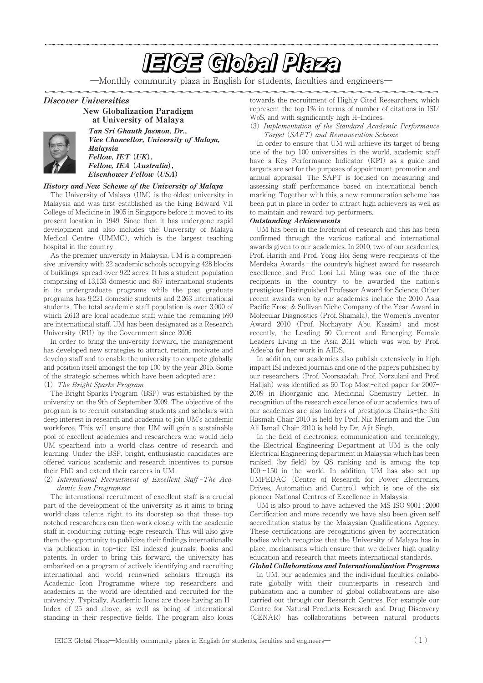# **EIGE Global Plaza**

―Monthly community plaza in English for students, faculties and engineers―

Discover Universities



at University of Malaya Tan Sri Ghauth Jasmon, Dr., Vice Chancellor, University of Malaya, Malaysia Fellow, IET **(**UK**)**, Fellow, IEA **(**Australia**)**, Eisenhower Fellow **(**USA**)**

## History and New Scheme of the University of Malaya

New Globalization Paradigm

The University of Malaya (UM) is the oldest university in Malaysia and was first established as the King Edward VII College of Medicine in 1905 in Singapore before it moved to its present location in 1949. Since then it has undergone rapid development and also includes the University of Malaya Medical Centre (UMMC), which is the largest teaching hospital in the country.

As the premier university in Malaysia, UM is a comprehensive university with 22 academic schools occupying 428 blocks of buildings, spread over 922 acres. It has a student population comprising of 13,133 domestic and 857 international students in its undergraduate programs while the post graduate programs has 9,221 domestic students and 2,263 international students. The total academic staff population is over 3,000 of which 2,613 are local academic staff while the remaining 590 are international staff. UM has been designated as a Research University (RU) by the Government since 2006.

In order to bring the university forward, the management has developed new strategies to attract, retain, motivate and develop staff and to enable the university to compete globally and position itself amongst the top 100 by the year 2015. Some of the strategic schemes which have been adopted are :

# (1) The Bright Sparks Program

The Bright Sparks Program (BSP) was established by the university on the 9th of September 2009. The objective of the program is to recruit outstanding students and scholars with deep interest in research and academia to join UM's academic workforce. This will ensure that UM will gain a sustainable pool of excellent academics and researchers who would help UM spearhead into a world class centre of research and learning. Under the BSP, bright, enthusiastic candidates are offered various academic and research incentives to pursue their PhD and extend their careers in UM.

(2) International Recruitment of Excellent Staff -The Academic Icon Programme

The international recruitment of excellent staff is a crucial part of the development of the university as it aims to bring world-class talents right to its doorstep so that these top notched researchers can then work closely with the academic staff in conducting cutting-edge research. This will also give them the opportunity to publicize their findings internationally via publication in top-tier ISI indexed journals, books and patents. In order to bring this forward, the university has embarked on a program of actively identifying and recruiting international and world renowned scholars through its Academic Icon Programme where top researchers and academics in the world are identified and recruited for the university. Typically, Academic Icons are those having an H-Index of 25 and above, as well as being of international standing in their respective fields. The program also looks towards the recruitment of Highly Cited Researchers, which represent the top 1% in terms of number of citations in ISI/ WoS, and with significantly high H-Indices.

(3) Implementation of the Standard Academic Performance Target (SAPT) and Remuneration Scheme

In order to ensure that UM will achieve its target of being one of the top 100 universities in the world, academic staff have a Key Performance Indicator (KPI) as a guide and targets are set for the purposes of appointment, promotion and annual appraisal. The SAPT is focused on measuring and assessing staff performance based on international benchmarking. Together with this, a new remuneration scheme has been put in place in order to attract high achievers as well as to maintain and reward top performers.

#### Outstanding Achievements

UM has been in the forefront of research and this has been confirmed through the various national and international awards given to our academics. In 2010, two of our academics, Prof. Harith and Prof. Yong Hoi Seng were recipients of the Merdeka Awards - the country's highest award for research excellence ; and Prof. Looi Lai Ming was one of the three recipients in the country to be awarded the nation's prestigious Distinguished Professor Award for Science. Other recent awards won by our academics include the 2010 Asia Pacific Frost & Sullivan Niche Company of the Year Award in Molecular Diagnostics (Prof. Shamala), the Women's Inventor Award 2010 (Prof. Norhayaty Abu Kassim) and most recently, the Leading 50 Current and Emerging Female Leaders Living in the Asia 2011 which was won by Prof. Adeeba for her work in AIDS.

In addition, our academics also publish extensively in high impact ISI indexed journals and one of the papers published by our researchers (Prof. Noorsaadah, Prof. Norzulani and Prof. Halijah) was identified as 50 Top Most-cited paper for 2007- 2009 in Bioorganic and Medicinal Chemistry Letter. In recognition of the research excellence of our academics, two of our academics are also holders of prestigious Chairs-the Siti Hasmah Chair 2010 is held by Prof. Nik Meriam and the Tun Ali Ismail Chair 2010 is held by Dr. Ajit Singh.

In the field of electronics, communication and technology, the Electrical Engineering Department at UM is the only Electrical Engineering department in Malaysia which has been ranked (by field) by QS ranking and is among the top  $100~150$  in the world. In addition, UM has also set up UMPEDAC (Centre of Research for Power Electronics, Drives, Automation and Control) which is one of the six pioneer National Centres of Excellence in Malaysia.

UM is also proud to have achieved the MS ISO 9001 : 2000 Certification and more recently we have also been given self accreditation status by the Malaysian Qualifications Agency. These certifications are recognitions given by accreditation bodies which recognize that the University of Malaya has in place, mechanisms which ensure that we deliver high quality education and research that meets international standards.

#### Global Collaborations and Internationalization Programs

In UM, our academics and the individual faculties collaborate globally with their counterparts in research and publication and a number of global collaborations are also carried out through our Research Centres. For example our Centre for Natural Products Research and Drug Discovery (CENAR) has collaborations between natural products